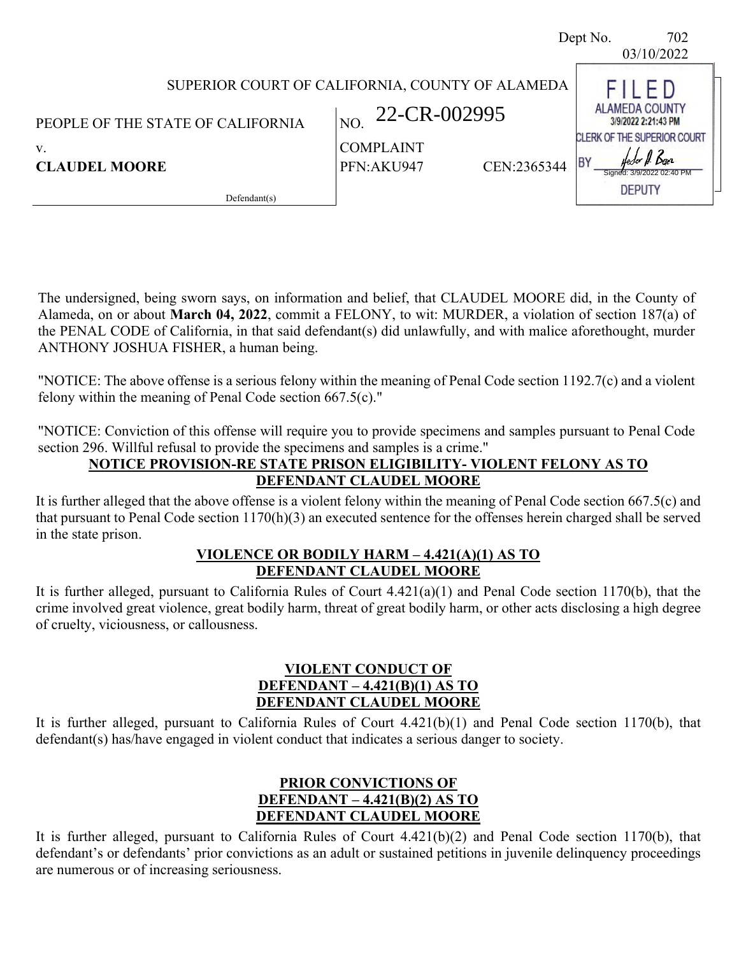|                                   |                                                 | 702<br>Dept No.<br>03/10/2022                                               |
|-----------------------------------|-------------------------------------------------|-----------------------------------------------------------------------------|
|                                   | SUPERIOR COURT OF CALIFORNIA, COUNTY OF ALAMEDA | $\vdash$ D                                                                  |
| PEOPLE OF THE STATE OF CALIFORNIA | 22-CR-002995<br>NO.                             | <b>ALAMEDA COUNTY</b><br>3/9/2022 2:21:43 PM<br>CLERK OF THE SUPERIOR COURT |
| V.<br><b>CLAUDEL MOORE</b>        | <b>COMPLAINT</b><br>CEN:2365344<br>PFN:AKU947   | <b>BY</b><br>for II. Daez                                                   |
| Defendant(s)                      |                                                 | <b>DEPUTY</b>                                                               |

The undersigned, being sworn says, on information and belief, that CLAUDEL MOORE did, in the County of Alameda, on or about **March 04, 2022**, commit a FELONY, to wit: MURDER, a violation of section 187(a) of the PENAL CODE of California, in that said defendant(s) did unlawfully, and with malice aforethought, murder ANTHONY JOSHUA FISHER, a human being.

"NOTICE: The above offense is a serious felony within the meaning of Penal Code section 1192.7(c) and a violent felony within the meaning of Penal Code section 667.5(c)."

"NOTICE: Conviction of this offense will require you to provide specimens and samples pursuant to Penal Code section 296. Willful refusal to provide the specimens and samples is a crime."

# **NOTICE PROVISION-RE STATE PRISON ELIGIBILITY- VIOLENT FELONY AS TO DEFENDANT CLAUDEL MOORE**

It is further alleged that the above offense is a violent felony within the meaning of Penal Code section 667.5(c) and that pursuant to Penal Code section 1170(h)(3) an executed sentence for the offenses herein charged shall be served in the state prison.

## **VIOLENCE OR BODILY HARM – 4.421(A)(1) AS TO DEFENDANT CLAUDEL MOORE**

It is further alleged, pursuant to California Rules of Court 4.421(a)(1) and Penal Code section 1170(b), that the crime involved great violence, great bodily harm, threat of great bodily harm, or other acts disclosing a high degree of cruelty, viciousness, or callousness.

## **VIOLENT CONDUCT OF DEFENDANT – 4.421(B)(1) AS TO DEFENDANT CLAUDEL MOORE**

It is further alleged, pursuant to California Rules of Court 4.421(b)(1) and Penal Code section 1170(b), that defendant(s) has/have engaged in violent conduct that indicates a serious danger to society.

# **PRIOR CONVICTIONS OF DEFENDANT – 4.421(B)(2) AS TO DEFENDANT CLAUDEL MOORE**

It is further alleged, pursuant to California Rules of Court 4.421(b)(2) and Penal Code section 1170(b), that defendant's or defendants' prior convictions as an adult or sustained petitions in juvenile delinquency proceedings are numerous or of increasing seriousness.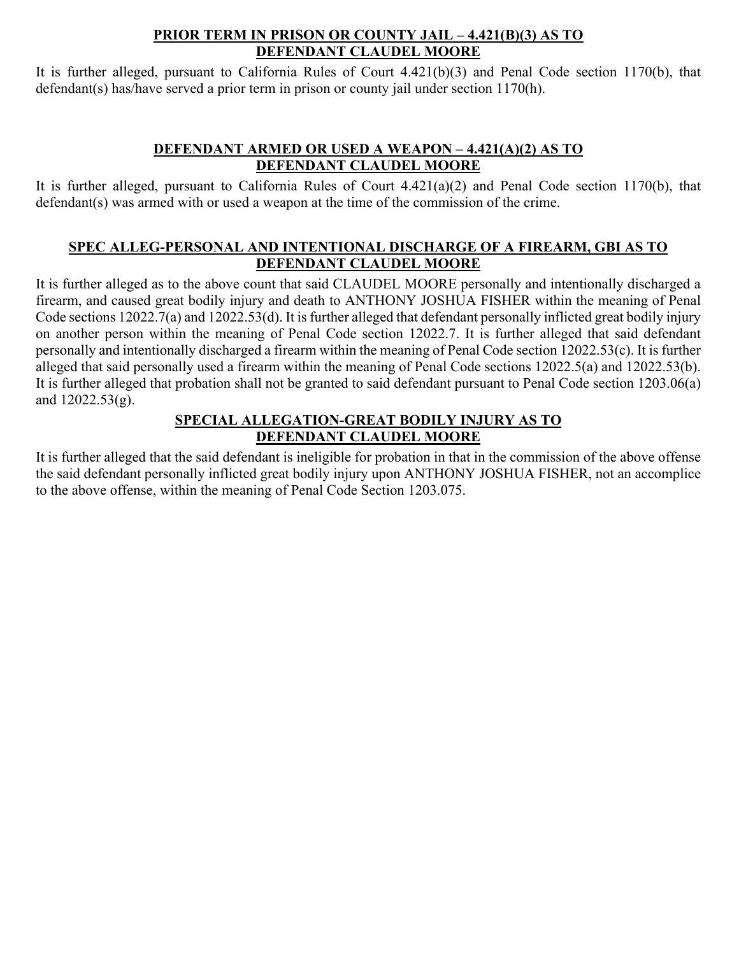### **PRIOR TERM IN PRISON OR COUNTY JAIL – 4.421(B)(3) AS TO DEFENDANT CLAUDEL MOORE**

It is further alleged, pursuant to California Rules of Court 4.421(b)(3) and Penal Code section 1170(b), that defendant(s) has/have served a prior term in prison or county jail under section 1170(h).

# **DEFENDANT ARMED OR USED A WEAPON – 4.421(A)(2) AS TO DEFENDANT CLAUDEL MOORE**

It is further alleged, pursuant to California Rules of Court 4.421(a)(2) and Penal Code section 1170(b), that defendant(s) was armed with or used a weapon at the time of the commission of the crime.

# **SPEC ALLEG-PERSONAL AND INTENTIONAL DISCHARGE OF A FIREARM, GBI AS TO DEFENDANT CLAUDEL MOORE**

It is further alleged as to the above count that said CLAUDEL MOORE personally and intentionally discharged a firearm, and caused great bodily injury and death to ANTHONY JOSHUA FISHER within the meaning of Penal Code sections 12022.7(a) and 12022.53(d). It is further alleged that defendant personally inflicted great bodily injury on another person within the meaning of Penal Code section 12022.7. It is further alleged that said defendant personally and intentionally discharged a firearm within the meaning of Penal Code section 12022.53(c). It is further alleged that said personally used a firearm within the meaning of Penal Code sections 12022.5(a) and 12022.53(b). It is further alleged that probation shall not be granted to said defendant pursuant to Penal Code section 1203.06(a) and 12022.53(g).

# **SPECIAL ALLEGATION-GREAT BODILY INJURY AS TO DEFENDANT CLAUDEL MOORE**

It is further alleged that the said defendant is ineligible for probation in that in the commission of the above offense the said defendant personally inflicted great bodily injury upon ANTHONY JOSHUA FISHER, not an accomplice to the above offense, within the meaning of Penal Code Section 1203.075.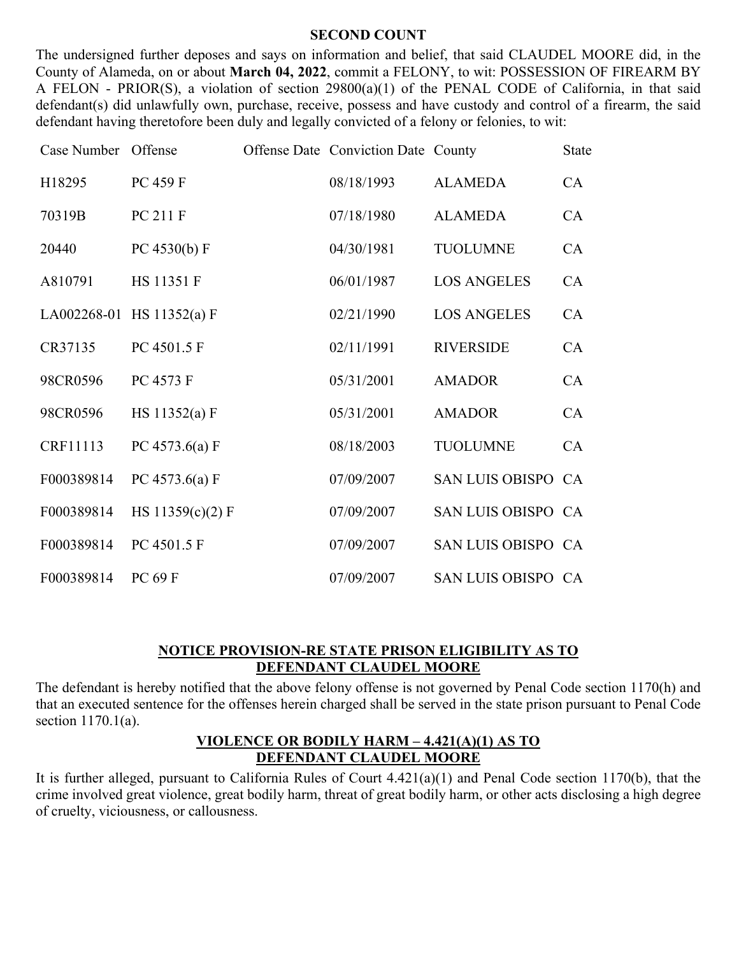#### **SECOND COUNT**

The undersigned further deposes and says on information and belief, that said CLAUDEL MOORE did, in the County of Alameda, on or about **March 04, 2022**, commit a FELONY, to wit: POSSESSION OF FIREARM BY A FELON - PRIOR(S), a violation of section 29800(a)(1) of the PENAL CODE of California, in that said defendant(s) did unlawfully own, purchase, receive, possess and have custody and control of a firearm, the said defendant having theretofore been duly and legally convicted of a felony or felonies, to wit:

| Case Number | Offense                   | Offense Date Conviction Date County |                    | <b>State</b> |
|-------------|---------------------------|-------------------------------------|--------------------|--------------|
| H18295      | PC 459 F                  | 08/18/1993                          | <b>ALAMEDA</b>     | CA           |
| 70319B      | PC 211 F                  | 07/18/1980                          | <b>ALAMEDA</b>     | CA           |
| 20440       | PC 4530(b) $F$            | 04/30/1981                          | <b>TUOLUMNE</b>    | CA           |
| A810791     | HS 11351 F                | 06/01/1987                          | <b>LOS ANGELES</b> | CA           |
|             | LA002268-01 HS 11352(a) F | 02/21/1990                          | <b>LOS ANGELES</b> | CA           |
| CR37135     | PC 4501.5 F               | 02/11/1991                          | <b>RIVERSIDE</b>   | CA           |
| 98CR0596    | PC 4573 F                 | 05/31/2001                          | <b>AMADOR</b>      | CA           |
| 98CR0596    | HS 11352(a) F             | 05/31/2001                          | <b>AMADOR</b>      | CA           |
| CRF11113    | PC 4573.6(a) F            | 08/18/2003                          | <b>TUOLUMNE</b>    | CA           |
| F000389814  | PC 4573.6(a) F            | 07/09/2007                          | SAN LUIS OBISPO CA |              |
| F000389814  | HS $11359(c)(2) F$        | 07/09/2007                          | SAN LUIS OBISPO CA |              |
| F000389814  | PC 4501.5 F               | 07/09/2007                          | SAN LUIS OBISPO CA |              |
| F000389814  | PC 69 F                   | 07/09/2007                          | SAN LUIS OBISPO CA |              |

### **NOTICE PROVISION-RE STATE PRISON ELIGIBILITY AS TO DEFENDANT CLAUDEL MOORE**

The defendant is hereby notified that the above felony offense is not governed by Penal Code section 1170(h) and that an executed sentence for the offenses herein charged shall be served in the state prison pursuant to Penal Code section 1170.1(a).

### **VIOLENCE OR BODILY HARM – 4.421(A)(1) AS TO DEFENDANT CLAUDEL MOORE**

It is further alleged, pursuant to California Rules of Court 4.421(a)(1) and Penal Code section 1170(b), that the crime involved great violence, great bodily harm, threat of great bodily harm, or other acts disclosing a high degree of cruelty, viciousness, or callousness.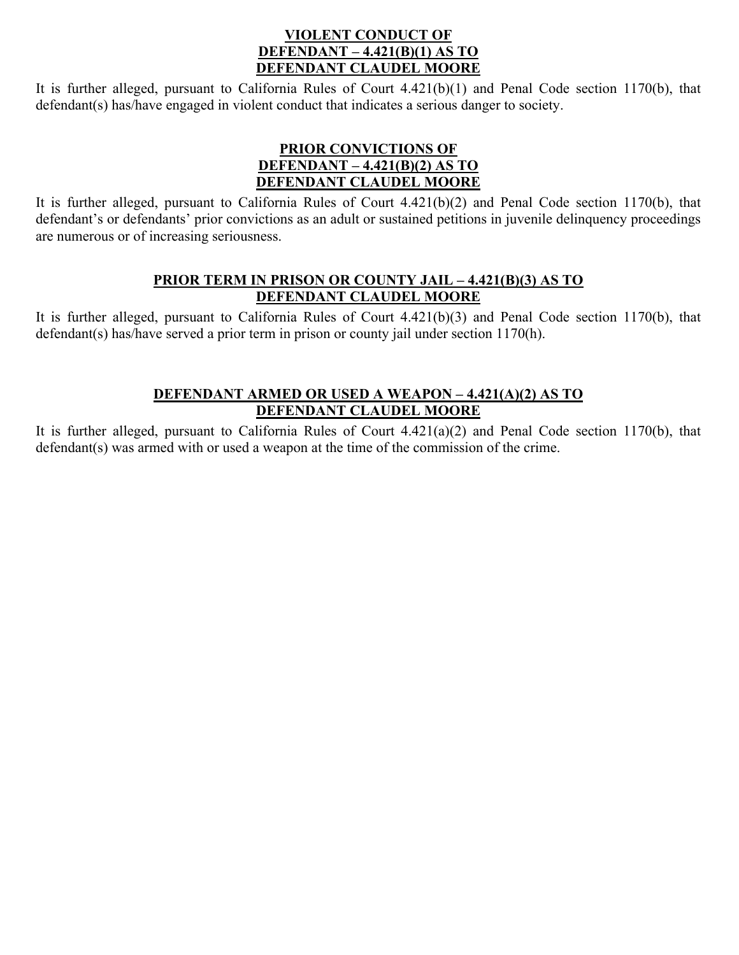### **VIOLENT CONDUCT OF DEFENDANT – 4.421(B)(1) AS TO DEFENDANT CLAUDEL MOORE**

It is further alleged, pursuant to California Rules of Court 4.421(b)(1) and Penal Code section 1170(b), that defendant(s) has/have engaged in violent conduct that indicates a serious danger to society.

# **PRIOR CONVICTIONS OF DEFENDANT – 4.421(B)(2) AS TO DEFENDANT CLAUDEL MOORE**

It is further alleged, pursuant to California Rules of Court 4.421(b)(2) and Penal Code section 1170(b), that defendant's or defendants' prior convictions as an adult or sustained petitions in juvenile delinquency proceedings are numerous or of increasing seriousness.

### **PRIOR TERM IN PRISON OR COUNTY JAIL – 4.421(B)(3) AS TO DEFENDANT CLAUDEL MOORE**

It is further alleged, pursuant to California Rules of Court 4.421(b)(3) and Penal Code section 1170(b), that defendant(s) has/have served a prior term in prison or county jail under section 1170(h).

# **DEFENDANT ARMED OR USED A WEAPON – 4.421(A)(2) AS TO DEFENDANT CLAUDEL MOORE**

It is further alleged, pursuant to California Rules of Court 4.421(a)(2) and Penal Code section 1170(b), that defendant(s) was armed with or used a weapon at the time of the commission of the crime.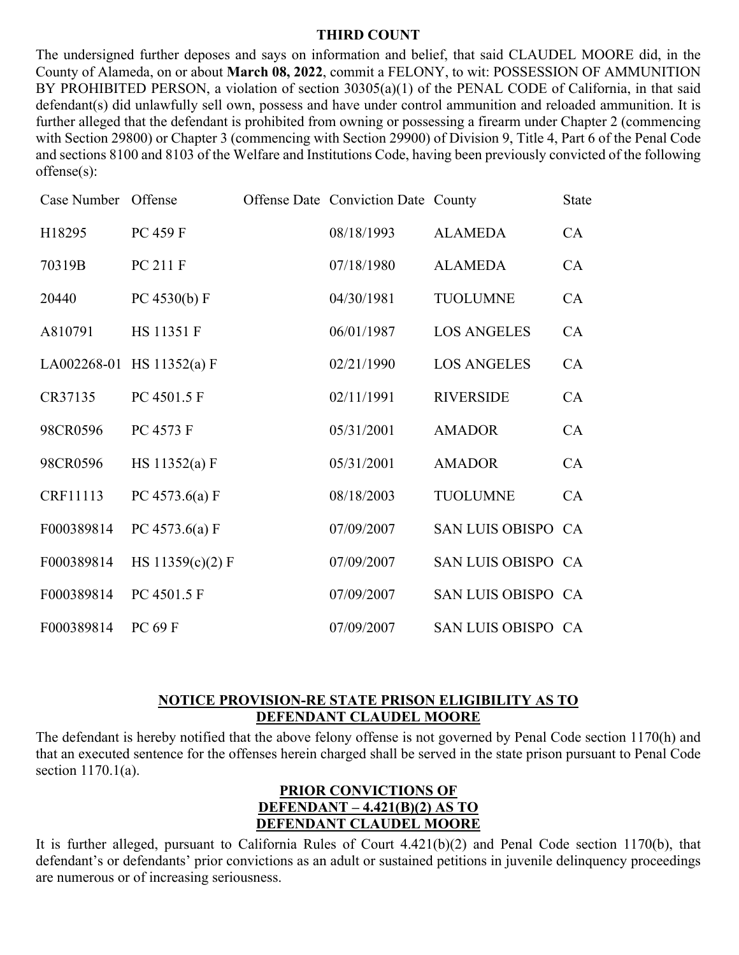#### **THIRD COUNT**

The undersigned further deposes and says on information and belief, that said CLAUDEL MOORE did, in the County of Alameda, on or about **March 08, 2022**, commit a FELONY, to wit: POSSESSION OF AMMUNITION BY PROHIBITED PERSON, a violation of section 30305(a)(1) of the PENAL CODE of California, in that said defendant(s) did unlawfully sell own, possess and have under control ammunition and reloaded ammunition. It is further alleged that the defendant is prohibited from owning or possessing a firearm under Chapter 2 (commencing with Section 29800) or Chapter 3 (commencing with Section 29900) of Division 9, Title 4, Part 6 of the Penal Code and sections 8100 and 8103 of the Welfare and Institutions Code, having been previously convicted of the following offense(s):

| Case Number Offense |                           | Offense Date Conviction Date County |                    | <b>State</b> |
|---------------------|---------------------------|-------------------------------------|--------------------|--------------|
| H18295              | PC 459 F                  | 08/18/1993                          | <b>ALAMEDA</b>     | CA           |
| 70319B              | PC 211 F                  | 07/18/1980                          | <b>ALAMEDA</b>     | CA           |
| 20440               | PC 4530(b) F              | 04/30/1981                          | <b>TUOLUMNE</b>    | CA           |
| A810791             | <b>HS 11351 F</b>         | 06/01/1987                          | <b>LOS ANGELES</b> | CA           |
|                     | LA002268-01 HS 11352(a) F | 02/21/1990                          | <b>LOS ANGELES</b> | CA           |
| CR37135             | PC 4501.5 F               | 02/11/1991                          | <b>RIVERSIDE</b>   | CA           |
| 98CR0596            | PC 4573 F                 | 05/31/2001                          | <b>AMADOR</b>      | CA           |
| 98CR0596            | HS 11352(a) F             | 05/31/2001                          | <b>AMADOR</b>      | CA           |
| CRF11113            | PC 4573.6(a) F            | 08/18/2003                          | <b>TUOLUMNE</b>    | CA           |
| F000389814          | PC 4573.6(a) F            | 07/09/2007                          | SAN LUIS OBISPO CA |              |
| F000389814          | HS $11359(c)(2) F$        | 07/09/2007                          | SAN LUIS OBISPO CA |              |
| F000389814          | PC 4501.5 F               | 07/09/2007                          | SAN LUIS OBISPO CA |              |
| F000389814          | PC 69 F                   | 07/09/2007                          | SAN LUIS OBISPO CA |              |

### **NOTICE PROVISION-RE STATE PRISON ELIGIBILITY AS TO DEFENDANT CLAUDEL MOORE**

The defendant is hereby notified that the above felony offense is not governed by Penal Code section 1170(h) and that an executed sentence for the offenses herein charged shall be served in the state prison pursuant to Penal Code section 1170.1(a).

## **PRIOR CONVICTIONS OF DEFENDANT – 4.421(B)(2) AS TO DEFENDANT CLAUDEL MOORE**

It is further alleged, pursuant to California Rules of Court 4.421(b)(2) and Penal Code section 1170(b), that defendant's or defendants' prior convictions as an adult or sustained petitions in juvenile delinquency proceedings are numerous or of increasing seriousness.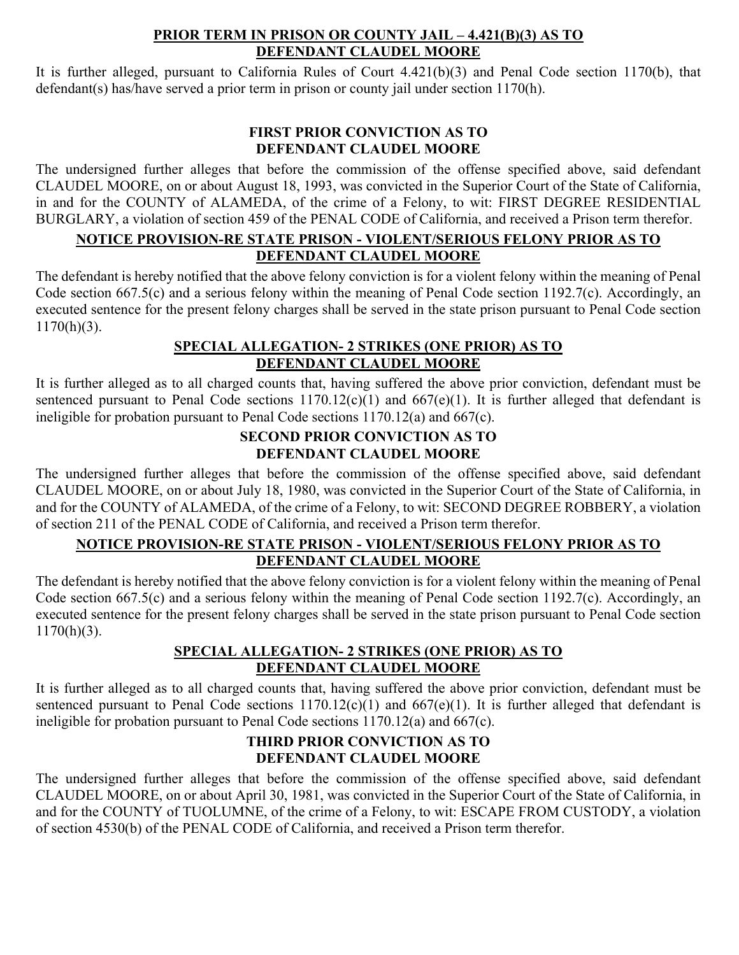## **PRIOR TERM IN PRISON OR COUNTY JAIL – 4.421(B)(3) AS TO DEFENDANT CLAUDEL MOORE**

It is further alleged, pursuant to California Rules of Court 4.421(b)(3) and Penal Code section 1170(b), that defendant(s) has/have served a prior term in prison or county jail under section 1170(h).

# **FIRST PRIOR CONVICTION AS TO DEFENDANT CLAUDEL MOORE**

The undersigned further alleges that before the commission of the offense specified above, said defendant CLAUDEL MOORE, on or about August 18, 1993, was convicted in the Superior Court of the State of California, in and for the COUNTY of ALAMEDA, of the crime of a Felony, to wit: FIRST DEGREE RESIDENTIAL BURGLARY, a violation of section 459 of the PENAL CODE of California, and received a Prison term therefor.

# **NOTICE PROVISION-RE STATE PRISON - VIOLENT/SERIOUS FELONY PRIOR AS TO DEFENDANT CLAUDEL MOORE**

The defendant is hereby notified that the above felony conviction is for a violent felony within the meaning of Penal Code section 667.5(c) and a serious felony within the meaning of Penal Code section 1192.7(c). Accordingly, an executed sentence for the present felony charges shall be served in the state prison pursuant to Penal Code section  $1170(h)(3)$ .

# **SPECIAL ALLEGATION- 2 STRIKES (ONE PRIOR) AS TO DEFENDANT CLAUDEL MOORE**

It is further alleged as to all charged counts that, having suffered the above prior conviction, defendant must be sentenced pursuant to Penal Code sections  $1170.12(c)(1)$  and  $667(e)(1)$ . It is further alleged that defendant is ineligible for probation pursuant to Penal Code sections 1170.12(a) and 667(c).

## **SECOND PRIOR CONVICTION AS TO DEFENDANT CLAUDEL MOORE**

The undersigned further alleges that before the commission of the offense specified above, said defendant CLAUDEL MOORE, on or about July 18, 1980, was convicted in the Superior Court of the State of California, in and for the COUNTY of ALAMEDA, of the crime of a Felony, to wit: SECOND DEGREE ROBBERY, a violation of section 211 of the PENAL CODE of California, and received a Prison term therefor.

# **NOTICE PROVISION-RE STATE PRISON - VIOLENT/SERIOUS FELONY PRIOR AS TO DEFENDANT CLAUDEL MOORE**

The defendant is hereby notified that the above felony conviction is for a violent felony within the meaning of Penal Code section 667.5(c) and a serious felony within the meaning of Penal Code section 1192.7(c). Accordingly, an executed sentence for the present felony charges shall be served in the state prison pursuant to Penal Code section  $1170(h)(3)$ .

# **SPECIAL ALLEGATION- 2 STRIKES (ONE PRIOR) AS TO DEFENDANT CLAUDEL MOORE**

It is further alleged as to all charged counts that, having suffered the above prior conviction, defendant must be sentenced pursuant to Penal Code sections  $1170.12(c)(1)$  and  $667(e)(1)$ . It is further alleged that defendant is ineligible for probation pursuant to Penal Code sections 1170.12(a) and 667(c).

# **THIRD PRIOR CONVICTION AS TO DEFENDANT CLAUDEL MOORE**

The undersigned further alleges that before the commission of the offense specified above, said defendant CLAUDEL MOORE, on or about April 30, 1981, was convicted in the Superior Court of the State of California, in and for the COUNTY of TUOLUMNE, of the crime of a Felony, to wit: ESCAPE FROM CUSTODY, a violation of section 4530(b) of the PENAL CODE of California, and received a Prison term therefor.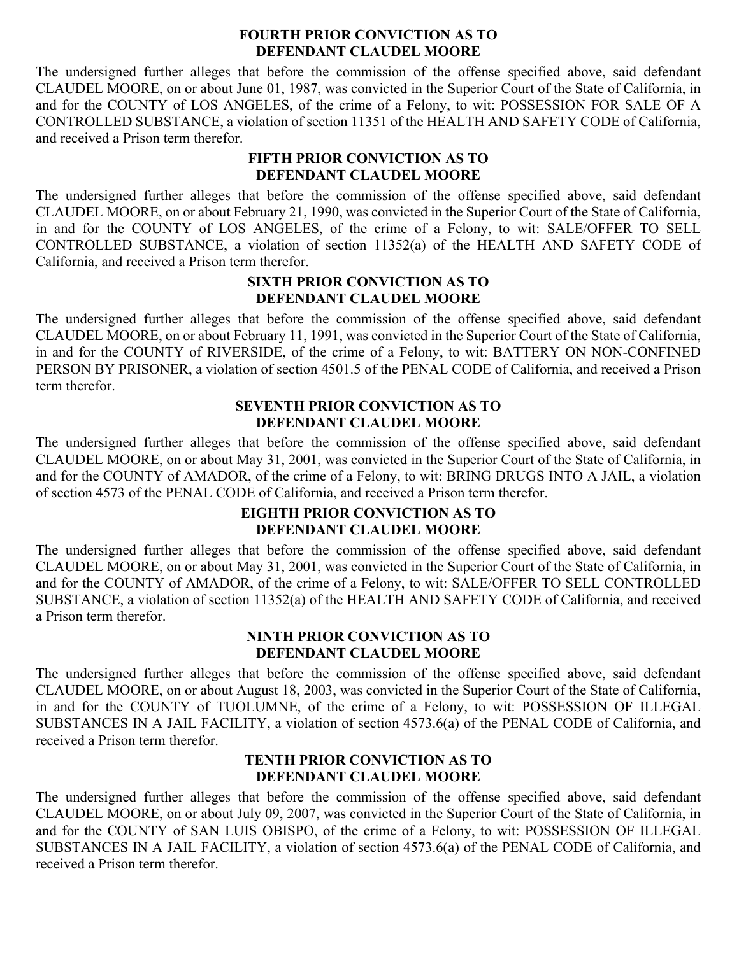#### **FOURTH PRIOR CONVICTION AS TO DEFENDANT CLAUDEL MOORE**

The undersigned further alleges that before the commission of the offense specified above, said defendant CLAUDEL MOORE, on or about June 01, 1987, was convicted in the Superior Court of the State of California, in and for the COUNTY of LOS ANGELES, of the crime of a Felony, to wit: POSSESSION FOR SALE OF A CONTROLLED SUBSTANCE, a violation of section 11351 of the HEALTH AND SAFETY CODE of California, and received a Prison term therefor.

### **FIFTH PRIOR CONVICTION AS TO DEFENDANT CLAUDEL MOORE**

The undersigned further alleges that before the commission of the offense specified above, said defendant CLAUDEL MOORE, on or about February 21, 1990, was convicted in the Superior Court of the State of California, in and for the COUNTY of LOS ANGELES, of the crime of a Felony, to wit: SALE/OFFER TO SELL CONTROLLED SUBSTANCE, a violation of section 11352(a) of the HEALTH AND SAFETY CODE of California, and received a Prison term therefor.

### **SIXTH PRIOR CONVICTION AS TO DEFENDANT CLAUDEL MOORE**

The undersigned further alleges that before the commission of the offense specified above, said defendant CLAUDEL MOORE, on or about February 11, 1991, was convicted in the Superior Court of the State of California, in and for the COUNTY of RIVERSIDE, of the crime of a Felony, to wit: BATTERY ON NON-CONFINED PERSON BY PRISONER, a violation of section 4501.5 of the PENAL CODE of California, and received a Prison term therefor.

### **SEVENTH PRIOR CONVICTION AS TO DEFENDANT CLAUDEL MOORE**

The undersigned further alleges that before the commission of the offense specified above, said defendant CLAUDEL MOORE, on or about May 31, 2001, was convicted in the Superior Court of the State of California, in and for the COUNTY of AMADOR, of the crime of a Felony, to wit: BRING DRUGS INTO A JAIL, a violation of section 4573 of the PENAL CODE of California, and received a Prison term therefor.

## **EIGHTH PRIOR CONVICTION AS TO DEFENDANT CLAUDEL MOORE**

The undersigned further alleges that before the commission of the offense specified above, said defendant CLAUDEL MOORE, on or about May 31, 2001, was convicted in the Superior Court of the State of California, in and for the COUNTY of AMADOR, of the crime of a Felony, to wit: SALE/OFFER TO SELL CONTROLLED SUBSTANCE, a violation of section 11352(a) of the HEALTH AND SAFETY CODE of California, and received a Prison term therefor.

### **NINTH PRIOR CONVICTION AS TO DEFENDANT CLAUDEL MOORE**

The undersigned further alleges that before the commission of the offense specified above, said defendant CLAUDEL MOORE, on or about August 18, 2003, was convicted in the Superior Court of the State of California, in and for the COUNTY of TUOLUMNE, of the crime of a Felony, to wit: POSSESSION OF ILLEGAL SUBSTANCES IN A JAIL FACILITY, a violation of section 4573.6(a) of the PENAL CODE of California, and received a Prison term therefor.

### **TENTH PRIOR CONVICTION AS TO DEFENDANT CLAUDEL MOORE**

The undersigned further alleges that before the commission of the offense specified above, said defendant CLAUDEL MOORE, on or about July 09, 2007, was convicted in the Superior Court of the State of California, in and for the COUNTY of SAN LUIS OBISPO, of the crime of a Felony, to wit: POSSESSION OF ILLEGAL SUBSTANCES IN A JAIL FACILITY, a violation of section 4573.6(a) of the PENAL CODE of California, and received a Prison term therefor.